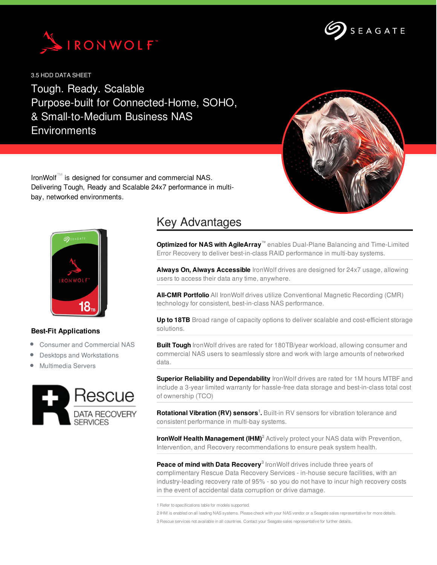



3.5 HDD DATA SHEET

Tough. Ready. Scalable Purpose-built for Connected-Home, SOHO, & Small-to-Medium Business NAS **Environments** 



IronWolf™ is designed for consumer and commercial NAS. Delivering Tough, Ready and Scalable 24x7 performance in multibay, networked environments.



## **Best-Fit Applications**

- Consumer and Commercial NAS
- Desktops and Workstations
- Multimedia Servers



## Key Advantages

**Optimized for NAS with AgileArray™** enables Dual-Plane Balancing and Time-Limited Error Recovery to deliver best-in-class RAID performance in multi-bay systems.

**Always On, Always Accessible** IronWolf drives are designed for 24x7 usage, allowing users to access their data any time, anywhere.

**All-CMR Portfolio** All IronWolf drives utilize Conventional Magnetic Recording (CMR) technology for consistent, best-in-class NAS performance.

**Up to 18TB** Broad range of capacity options to deliver scalable and cost-efficient storage solutions.

**Built Tough** IronWolf drives are rated for 180TB/year workload, allowing consumer and commercial NAS users to seamlessly store and work with large amounts of networked data.

**Superior Reliability and Dependability** IronWolf drives are rated for 1M hours MTBF and include a 3-year limited warranty for hassle-free data storage and best-in-class total cost of ownership (TCO)

**Rotational Vibration (RV) sensors<sup>1</sup>.** Built-in RV sensors for vibration tolerance and consistent performance in multi-bay systems.

**IronWolf Health Management (IHM) <sup>2</sup>** Actively protect your NAS data with Prevention, Intervention, and Recovery recommendations to ensure peak system health.

**Peace of mind with Data Recovery 3** IronWolf drives include three years of complimentary Rescue Data Recovery Services - in-house secure facilities, with an industry-leading recovery rate of 95% - so you do not have to incur high recovery costs in the event of accidental data corruption or drive damage.

1 Refer to specifications table for models supported.

2 IHM is enabled on all leading NAS systems. Please check with your NAS vendor or a Seagate sales representative for more details. 3 Rescue services not available in all countries. Contact your Seagate sales representative for further details.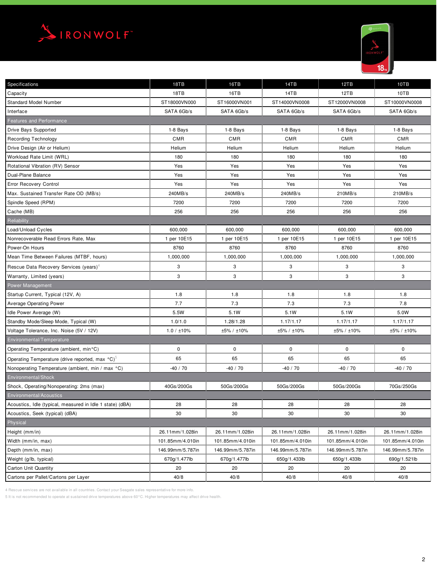



| Specifications                                              | 18TB             | 16TB             | 14TB             | 12TB             | 10TB             |
|-------------------------------------------------------------|------------------|------------------|------------------|------------------|------------------|
| Capacity                                                    | 18TB             | 16TB             | 14TB             | 12TB             | 10TB             |
| <b>Standard Model Number</b>                                | ST18000VN000     | ST16000VN001     | ST14000VN0008    | ST12000VN0008    | ST10000VN0008    |
| Interface                                                   | SATA 6Gb/s       | SATA 6Gb/s       | SATA 6Gb/s       | SATA 6Gb/s       | SATA 6Gb/s       |
| Features and Performance                                    |                  |                  |                  |                  |                  |
| Drive Bays Supported                                        | 1-8 Bays         | 1-8 Bays         | 1-8 Bays         | 1-8 Bays         | 1-8 Bays         |
| <b>Recording Technology</b>                                 | CMR              | <b>CMR</b>       | <b>CMR</b>       | CMR              | <b>CMR</b>       |
| Drive Design (Air or Helium)                                | Helium           | Helium           | Helium           | Helium           | Helium           |
| Workload Rate Limit (WRL)                                   | 180              | 180              | 180              | 180              | 180              |
| Rotational Vibration (RV) Sensor                            | Yes              | Yes              | Yes              | Yes              | Yes              |
| Dual-Plane Balance                                          | Yes              | Yes              | Yes              | Yes              | Yes              |
| Error Recovery Control                                      | Yes              | Yes              | Yes              | Yes              | Yes              |
| Max. Sustained Transfer Rate OD (MB/s)                      | 240MB/s          | 240MB/s          | 240MB/s          | 210MB/s          | 210MB/s          |
| Spindle Speed (RPM)                                         | 7200             | 7200             | 7200             | 7200             | 7200             |
| Cache (MB)                                                  | 256              | 256              | 256              | 256              | 256              |
| Reliability                                                 |                  |                  |                  |                  |                  |
| Load/Unload Cycles                                          | 600,000          | 600,000          | 600,000          | 600,000          | 600,000          |
| Nonrecoverable Read Errors Rate, Max                        | 1 per 10E15      | 1 per 10E15      | 1 per 10E15      | 1 per 10E15      | 1 per 10E15      |
| Power-On Hours                                              | 8760             | 8760             | 8760             | 8760             | 8760             |
| Mean Time Between Failures (MTBF, hours)                    | 1,000,000        | 1,000,000        | 1,000,000        | 1,000,000        | 1,000,000        |
| Rescue Data Recovery Services (years) <sup>4</sup>          | 3                | 3                | 3                | 3                | 3                |
| Warranty, Limited (years)                                   | 3                | 3                | 3                | 3                | 3                |
| Power Management                                            |                  |                  |                  |                  |                  |
| Startup Current, Typical (12V, A)                           | 1.8              | 1.8              | 1.8              | 1.8              | 1.8              |
| Average Operating Power                                     | 7.7              | 7.3              | 7.3              | 7.3              | 7.8              |
| Idle Power Average (W)                                      | 5.5W             | 5.1W             | 5.1W             | 5.1W             | 5.0W             |
| Standby Mode/Sleep Mode, Typical (W)                        | 1.0/1.0          | 1.28/1.28        | 1.17/1.17        | 1.17/1.17        | 1.17/1.17        |
| Voltage Tolerance, Inc. Noise (5V / 12V)                    | 1.0 / ±10%       | ±5% / ±10%       | ±5% / ±10%       | ±5% / ±10%       | ±5% / ±10%       |
| Environmental/Temperature                                   |                  |                  |                  |                  |                  |
| Operating Temperature (ambient, min°C)                      | $\mathbf 0$      | 0                | $\mathbf 0$      | 0                | 0                |
| Operating Temperature (drive reported, max °C) <sup>5</sup> | 65               | 65               | 65               | 65               | 65               |
| Nonoperating Temperature (ambient, min / max °C)            | $-40/70$         | $-40/70$         | $-40/70$         | $-40/70$         | $-40/70$         |
| Environmental/Shock                                         |                  |                  |                  |                  |                  |
| Shock, Operating/Nonoperating: 2ms (max)                    | 40Gs/200Gs       | 50Gs/200Gs       | 50Gs/200Gs       | 50Gs/200Gs       | 70Gs/250Gs       |
| Environmental/Acoustics                                     |                  |                  |                  |                  |                  |
| Acoustics, Idle (typical, measured in Idle 1 state) (dBA)   | 28               | 28               | 28               | 28               | 28               |
| Acoustics, Seek (typical) (dBA)                             | 30               | 30               | 30               | 30               | 30               |
| Physical                                                    |                  |                  |                  |                  |                  |
| Height (mm/in)                                              | 26.11mm/1.028in  | 26.11mm/1.028in  | 26.11mm/1.028in  | 26.11mm/1.028in  | 26.11mm/1.028in  |
| Width (mm/in, max)                                          | 101.85mm/4.010in | 101.85mm/4.010in | 101.85mm/4.010in | 101.85mm/4.010in | 101.85mm/4.010in |
| Depth (mm/in, max)                                          | 146.99mm/5.787in | 146.99mm/5.787in | 146.99mm/5.787in | 146.99mm/5.787in | 146.99mm/5.787in |
| Weight (g/lb, typical)                                      | 670g/1.477lb     | 670g/1.477lb     | 650g/1.433lb     | 650g/1.433lb     | 690g/1.521lb     |
| Carton Unit Quantity                                        | 20               | 20               | 20               | 20               | 20               |
| Cartons per Pallet/Cartons per Layer                        | 40/8             | 40/8             | 40/8             | 40/8             | 40/8             |

4 Rescue services are not available in all countries. Contact your Seagate sales representative for more info.

5 It is not recommended to operate at sustained drive temperatures above 60°C. Higher temperatures may affect drive health.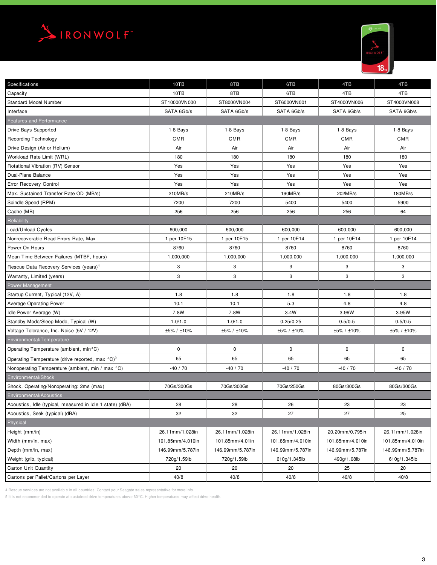



| Specifications                                            | 10TB             | 8TB              | 6TB              | 4TB              | 4TB              |
|-----------------------------------------------------------|------------------|------------------|------------------|------------------|------------------|
| Capacity                                                  | 10TB             | 8TB              | 6TB              | 4TB              | 4TB              |
| <b>Standard Model Number</b>                              | ST10000VN000     | ST8000VN004      | ST6000VN001      | ST4000VN006      | ST4000VN008      |
| Interface                                                 | SATA 6Gb/s       | SATA 6Gb/s       | SATA 6Gb/s       | SATA 6Gb/s       | SATA 6Gb/s       |
| <b>Features and Performance</b>                           |                  |                  |                  |                  |                  |
| Drive Bays Supported                                      | 1-8 Bays         | 1-8 Bays         | 1-8 Bays         | 1-8 Bays         | 1-8 Bays         |
| <b>Recording Technology</b>                               | <b>CMR</b>       | <b>CMR</b>       | <b>CMR</b>       | <b>CMR</b>       | <b>CMR</b>       |
| Drive Design (Air or Helium)                              | Air              | Air              | Air              | Air              | Air              |
| Workload Rate Limit (WRL)                                 | 180              | 180              | 180              | 180              | 180              |
| Rotational Vibration (RV) Sensor                          | Yes              | Yes              | Yes              | Yes              | Yes              |
| Dual-Plane Balance                                        | Yes              | Yes              | Yes              | Yes              | Yes              |
| Error Recovery Control                                    | Yes              | Yes              | Yes              | Yes              | Yes              |
| Max. Sustained Transfer Rate OD (MB/s)                    | 210MB/s          | 210MB/s          | 190MB/s          | 202MB/s          | 180MB/s          |
| Spindle Speed (RPM)                                       | 7200             | 7200             | 5400             | 5400             | 5900             |
| Cache (MB)                                                | 256              | 256              | 256              | 256              | 64               |
| Reliability                                               |                  |                  |                  |                  |                  |
| Load/Unload Cycles                                        | 600.000          | 600,000          | 600,000          | 600,000          | 600,000          |
| Nonrecoverable Read Errors Rate, Max                      | 1 per 10E15      | 1 per 10E15      | 1 per 10E14      | 1 per 10E14      | 1 per 10E14      |
| Power-On Hours                                            | 8760             | 8760             | 8760             | 8760             | 8760             |
| Mean Time Between Failures (MTBF, hours)                  | 1,000,000        | 1,000,000        | 1,000,000        | 1,000,000        | 1,000,000        |
| Rescue Data Recovery Services (years) <sup>4</sup>        | 3                | 3                | 3                | 3                | 3                |
| Warranty, Limited (years)                                 | 3                | 3                | 3                | 3                | 3                |
| Power Management                                          |                  |                  |                  |                  |                  |
| Startup Current, Typical (12V, A)                         | 1.8              | 1.8              | 1.8              | 1.8              | 1.8              |
| <b>Average Operating Power</b>                            | 10.1             | 10.1             | 5.3              | 4.8              | 4.8              |
| Idle Power Average (W)                                    | 7.8W             | 7.8W             | 3.4W             | 3.96W            | 3.95W            |
| Standby Mode/Sleep Mode, Typical (W)                      | 1.0/1.0          | 1.0/1.0          | 0.25/0.25        | 0.5/0.5          | 0.5/0.5          |
| Voltage Tolerance, Inc. Noise (5V / 12V)                  | ±5% / ±10%       | ±5% / ±10%       | ±5% / ±10%       | ±5% / ±10%       | ±5% / ±10%       |
| Environmental/Temperature                                 |                  |                  |                  |                  |                  |
| Operating Temperature (ambient, min°C)                    | 0                | $\mathbf 0$      | 0                | 0                | 0                |
| Operating Temperature (drive reported, max °C)°           | 65               | 65               | 65               | 65               | 65               |
| Nonoperating Temperature (ambient, min / max °C)          | $-40/70$         | $-40/70$         | $-40/70$         | $-40/70$         | $-40/70$         |
| Environmental/Shock                                       |                  |                  |                  |                  |                  |
| Shock, Operating/Nonoperating: 2ms (max)                  | 70Gs/300Gs       | 70Gs/300Gs       | 70Gs/250Gs       | 80Gs/300Gs       | 80Gs/300Gs       |
| <b>Environmental/Acoustics</b>                            |                  |                  |                  |                  |                  |
| Acoustics, Idle (typical, measured in Idle 1 state) (dBA) | 28               | 28               | 26               | 23               | 23               |
| Acoustics, Seek (typical) (dBA)                           | 32               | 32               | 27               | 27               | 25               |
| Physical                                                  |                  |                  |                  |                  |                  |
| Height (mm/in)                                            | 26.11mm/1.028in  | 26.11mm/1.028in  | 26.11mm/1.028in  | 20.20mm/0.795in  | 26.11mm/1.028in  |
| Width (mm/in, max)                                        | 101.85mm/4.010in | 101.85mm/4.01in  | 101.85mm/4.010in | 101.85mm/4.010in | 101.85mm/4.010in |
| Depth (mm/in, max)                                        | 146.99mm/5.787in | 146.99mm/5.787in | 146.99mm/5.787in | 146.99mm/5.787in | 146.99mm/5.787in |
| Weight (g/lb, typical)                                    | 720g/1.59lb      | 720g/1.59lb      | 610g/1.345lb     | 490g/1.08lb      | 610g/1.345lb     |
| <b>Carton Unit Quantity</b>                               | 20               | 20               | 20               | 25               | 20               |
| Cartons per Pallet/Cartons per Layer                      | 40/8             | 40/8             | 40/8             | 40/8             | 40/8             |

4 Rescue services are not available in all countries. Contact your Seagate sales representative for more info.

5 It is not recommended to operate at sustained drive temperatures above 60°C. Higher temperatures may affect drive health.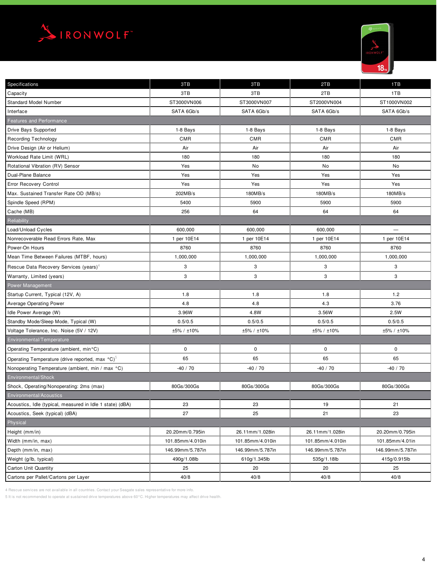



| Specifications                                            | 3TB              | 3TB              | 2TB              | 1TB              |
|-----------------------------------------------------------|------------------|------------------|------------------|------------------|
| Capacity                                                  | 3TB              | 3TB              | 2TB              | 1TB              |
| <b>Standard Model Number</b>                              | ST3000VN006      | ST3000VN007      | ST2000VN004      | ST1000VN002      |
| Interface                                                 | SATA 6Gb/s       | SATA 6Gb/s       | SATA 6Gb/s       | SATA 6Gb/s       |
| Features and Performance                                  |                  |                  |                  |                  |
| Drive Bays Supported                                      | 1-8 Bays         | 1-8 Bays         | 1-8 Bays         | 1-8 Bays         |
| <b>Recording Technology</b>                               | <b>CMR</b>       | CMR              | <b>CMR</b>       | <b>CMR</b>       |
| Drive Design (Air or Helium)                              | Air              | Air              | Air              | Air              |
| Workload Rate Limit (WRL)                                 | 180              | 180              | 180              | 180              |
| Rotational Vibration (RV) Sensor                          | Yes              | No               | No               | No               |
| Dual-Plane Balance                                        | Yes              | Yes              | Yes              | Yes              |
| <b>Error Recovery Control</b>                             | Yes              | Yes              | Yes              | Yes              |
| Max. Sustained Transfer Rate OD (MB/s)                    | 202MB/s          | 180MB/s          | 180MB/s          | 180MB/s          |
| Spindle Speed (RPM)                                       | 5400             | 5900             | 5900             | 5900             |
| Cache (MB)                                                | 256              | 64               | 64               | 64               |
| Reliability                                               |                  |                  |                  |                  |
| Load/Unload Cycles                                        | 600,000          | 600,000          | 600,000          |                  |
| Nonrecoverable Read Errors Rate, Max                      | 1 per 10E14      | 1 per 10E14      | 1 per 10E14      | 1 per 10E14      |
| Power-On Hours                                            | 8760             | 8760             | 8760             | 8760             |
| Mean Time Between Failures (MTBF, hours)                  | 1,000,000        | 1,000,000        | 1,000,000        | 1,000,000        |
| Rescue Data Recovery Services (years) <sup>4</sup>        | 3                | 3                | 3                | 3                |
| Warranty, Limited (years)                                 | 3                | 3                | 3                | 3                |
| Power Management                                          |                  |                  |                  |                  |
| Startup Current, Typical (12V, A)                         | 1.8              | 1.8              | 1.8              | 1.2              |
| Average Operating Power                                   | 4.8              | 4.8              | 4.3              | 3.76             |
| Idle Power Average (W)                                    | 3.96W            | 4.8W             | 3.56W            | 2.5W             |
| Standby Mode/Sleep Mode, Typical (W)                      | 0.5/0.5          | 0.5/0.5          | 0.5/0.5          | 0.5/0.5          |
| Voltage Tolerance, Inc. Noise (5V / 12V)                  | ±5% / ±10%       | ±5% / ±10%       | ±5% / ±10%       | ±5% / ±10%       |
| Environmental/Temperature                                 |                  |                  |                  |                  |
| Operating Temperature (ambient, min°C)                    | 0                | $\mathbf 0$      | 0                | $\pmb{0}$        |
| Operating Temperature (drive reported, max °C)°           | 65               | 65               | 65               | 65               |
| Nonoperating Temperature (ambient, min / max °C)          | $-40/70$         | $-40/70$         | $-40/70$         | $-40/70$         |
| Environmental/Shock                                       |                  |                  |                  |                  |
| Shock, Operating/Nonoperating: 2ms (max)                  | 80Gs/300Gs       | 80Gs/300Gs       | 80Gs/300Gs       | 80Gs/300Gs       |
| Environmental/Acoustics                                   |                  |                  |                  |                  |
| Acoustics, Idle (typical, measured in Idle 1 state) (dBA) | 23               | 23               | 19               | 21               |
| Acoustics, Seek (typical) (dBA)                           | 27               | 25               | 21               | 23               |
| Physical                                                  |                  |                  |                  |                  |
| Height (mm/in)                                            | 20.20mm/0.795in  | 26.11mm/1.028in  | 26.11mm/1.028in  | 20.20mm/0.795in  |
| Width (mm/in, max)                                        | 101.85mm/4.010in | 101.85mm/4.010in | 101.85mm/4.010in | 101.85mm/4.01in  |
| Depth (mm/in, max)                                        | 146.99mm/5.787in | 146.99mm/5.787in | 146.99mm/5.787in | 146.99mm/5.787in |
| Weight (g/lb, typical)                                    | 490g/1.08lb      | 610g/1.345lb     | 535g/1.18lb      | 415g/0.915lb     |
| Carton Unit Quantity                                      | 25               | 20               | 20               | 25               |
| Cartons per Pallet/Cartons per Layer                      | 40/8             | 40/8             | 40/8             | 40/8             |

4 Rescue services are not available in all countries. Contact your Seagate sales representative for more info.

5 It is not recommended to operate at sustained drive temperatures above 60°C. Higher temperatures may affect drive health.